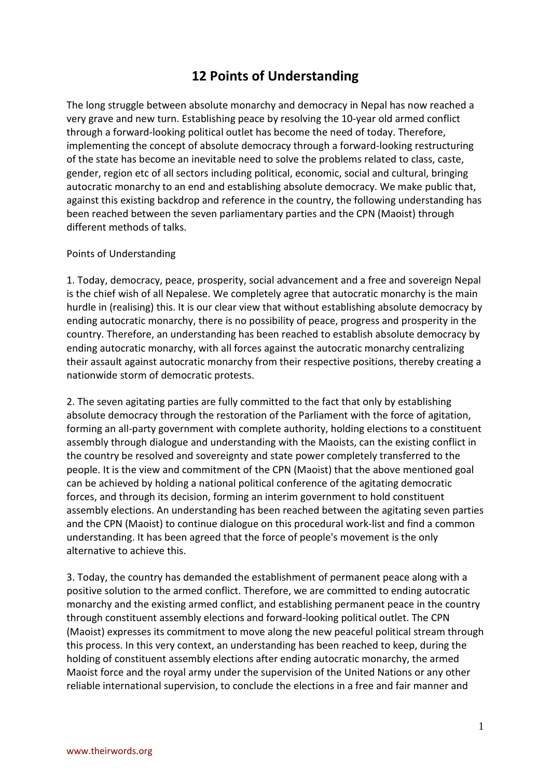## **12 Points of Understanding**

The long struggle between absolute monarchy and democracy in Nepal has now reached a very grave and new turn. Establishing peace by resolving the 10-year old armed conflict through a forward-looking political outlet has become the need of today. Therefore, implementing the concept of absolute democracy through a forward-looking restructuring of the state has become an inevitable need to solve the problems related to class, caste, gender, region etc of all sectors including political, economic, social and cultural, bringing autocratic monarchy to an end and establishing absolute democracy. We make public that, against this existing backdrop and reference in the country, the following understanding has been reached between the seven parliamentary parties and the CPN (Maoist) through different methods of talks.

## Points of Understanding

1. Today, democracy, peace, prosperity, social advancement and a free and sovereign Nepal is the chief wish of all Nepalese. We completely agree that autocratic monarchy is the main hurdle in (realising) this. It is our clear view that without establishing absolute democracy by ending autocratic monarchy, there is no possibility of peace, progress and prosperity in the country. Therefore, an understanding has been reached to establish absolute democracy by ending autocratic monarchy, with all forces against the autocratic monarchy centralizing their assault against autocratic monarchy from their respective positions, thereby creating a nationwide storm of democratic protests.

2. The seven agitating parties are fully committed to the fact that only by establishing absolute democracy through the restoration of the Parliament with the force of agitation, forming an all-party government with complete authority, holding elections to a constituent assembly through dialogue and understanding with the Maoists, can the existing conflict in the country be resolved and sovereignty and state power completely transferred to the people. It is the view and commitment of the CPN (Maoist) that the above mentioned goal can be achieved by holding a national political conference of the agitating democratic forces, and through its decision, forming an interim government to hold constituent assembly elections. An understanding has been reached between the agitating seven parties and the CPN (Maoist) to continue dialogue on this procedural work-list and find a common understanding. It has been agreed that the force of people's movement is the only alternative to achieve this.

3. Today, the country has demanded the establishment of permanent peace along with a positive solution to the armed conflict. Therefore, we are committed to ending autocratic monarchy and the existing armed conflict, and establishing permanent peace in the country through constituent assembly elections and forward-looking political outlet. The CPN (Maoist) expresses its commitment to move along the new peaceful political stream through this process. In this very context, an understanding has been reached to keep, during the holding of constituent assembly elections after ending autocratic monarchy, the armed Maoist force and the royal army under the supervision of the United Nations or any other reliable international supervision, to conclude the elections in a free and fair manner and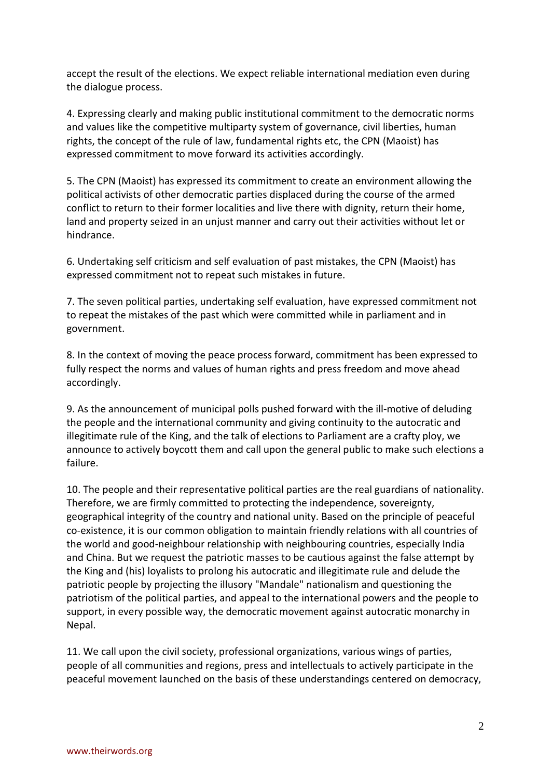accept the result of the elections. We expect reliable international mediation even during the dialogue process.

4. Expressing clearly and making public institutional commitment to the democratic norms and values like the competitive multiparty system of governance, civil liberties, human rights, the concept of the rule of law, fundamental rights etc, the CPN (Maoist) has expressed commitment to move forward its activities accordingly.

5. The CPN (Maoist) has expressed its commitment to create an environment allowing the political activists of other democratic parties displaced during the course of the armed conflict to return to their former localities and live there with dignity, return their home, land and property seized in an unjust manner and carry out their activities without let or hindrance.

6. Undertaking self criticism and self evaluation of past mistakes, the CPN (Maoist) has expressed commitment not to repeat such mistakes in future.

7. The seven political parties, undertaking self evaluation, have expressed commitment not to repeat the mistakes of the past which were committed while in parliament and in government.

8. In the context of moving the peace process forward, commitment has been expressed to fully respect the norms and values of human rights and press freedom and move ahead accordingly.

9. As the announcement of municipal polls pushed forward with the ill-motive of deluding the people and the international community and giving continuity to the autocratic and illegitimate rule of the King, and the talk of elections to Parliament are a crafty ploy, we announce to actively boycott them and call upon the general public to make such elections a failure.

10. The people and their representative political parties are the real guardians of nationality. Therefore, we are firmly committed to protecting the independence, sovereignty, geographical integrity of the country and national unity. Based on the principle of peaceful co-existence, it is our common obligation to maintain friendly relations with all countries of the world and good-neighbour relationship with neighbouring countries, especially India and China. But we request the patriotic masses to be cautious against the false attempt by the King and (his) loyalists to prolong his autocratic and illegitimate rule and delude the patriotic people by projecting the illusory "Mandale" nationalism and questioning the patriotism of the political parties, and appeal to the international powers and the people to support, in every possible way, the democratic movement against autocratic monarchy in Nepal.

11. We call upon the civil society, professional organizations, various wings of parties, people of all communities and regions, press and intellectuals to actively participate in the peaceful movement launched on the basis of these understandings centered on democracy,